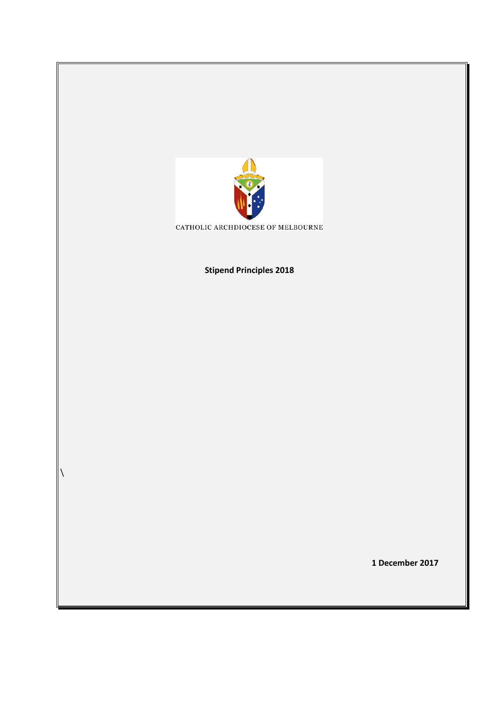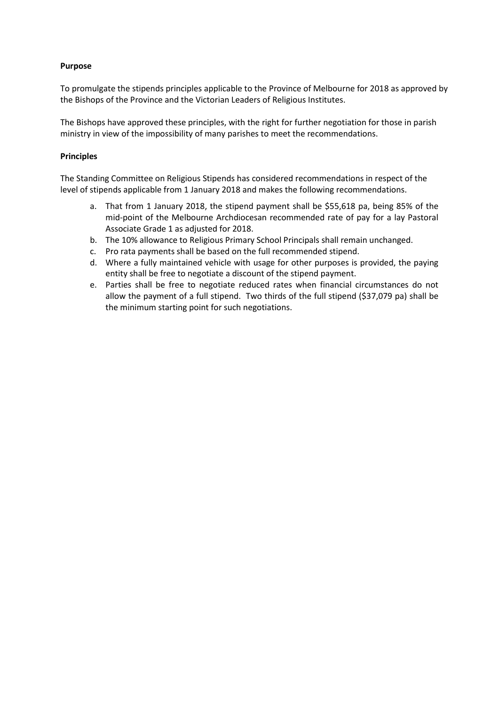## **Purpose**

To promulgate the stipends principles applicable to the Province of Melbourne for 2018 as approved by the Bishops of the Province and the Victorian Leaders of Religious Institutes.

The Bishops have approved these principles, with the right for further negotiation for those in parish ministry in view of the impossibility of many parishes to meet the recommendations.

## **Principles**

The Standing Committee on Religious Stipends has considered recommendations in respect of the level of stipends applicable from 1 January 2018 and makes the following recommendations.

- a. That from 1 January 2018, the stipend payment shall be \$55,618 pa, being 85% of the mid-point of the Melbourne Archdiocesan recommended rate of pay for a lay Pastoral Associate Grade 1 as adjusted for 2018.
- b. The 10% allowance to Religious Primary School Principals shall remain unchanged.
- c. Pro rata payments shall be based on the full recommended stipend.
- d. Where a fully maintained vehicle with usage for other purposes is provided, the paying entity shall be free to negotiate a discount of the stipend payment.
- e. Parties shall be free to negotiate reduced rates when financial circumstances do not allow the payment of a full stipend. Two thirds of the full stipend (\$37,079 pa) shall be the minimum starting point for such negotiations.